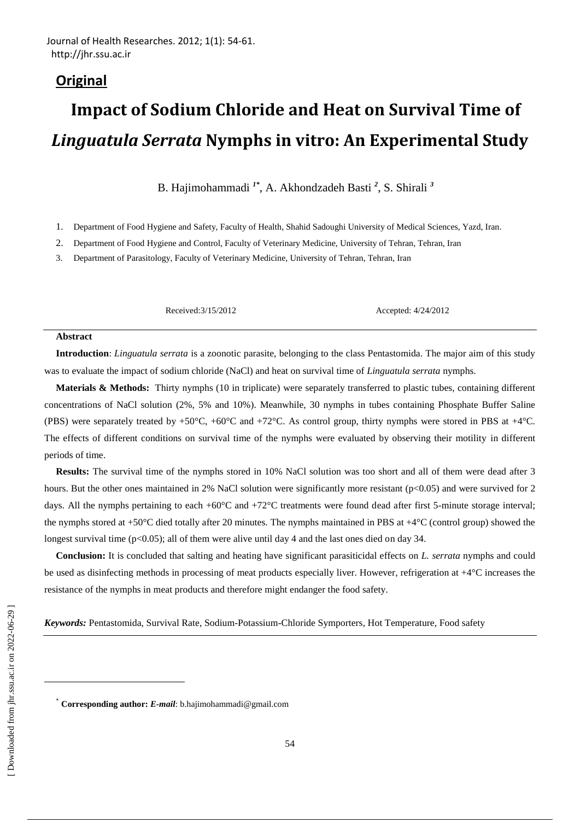## **Original**

# **Impact of Sodium Chloride and Heat on Survival Time of** *Linguatula Serrata* **Nymphs in vitro: An Experimental Study**

B. Hajimohammadi *1\** , A. Akhondzadeh Basti *<sup>2</sup>* , S. Shirali *<sup>3</sup>*

- 1. Department of Food Hygiene and Safety, Faculty of Health, Shahid Sadoughi University of Medical Sciences, Yazd, Iran.
- 2. Department of Food Hygiene and Control, Faculty of Veterinary Medicine, University of Tehran, Tehran, Iran
- 3. Department of Parasitology, Faculty of Veterinary Medicine, University of Tehran, Tehran, Iran

Received:3/15/2012 Accepted: 4/24/2012

#### **Abstract**

**Introduction**: *Linguatula serrata* is a zoonotic parasite, belonging to the class Pentastomida. The major aim of this study was to evaluate the impact of sodium chloride (NaCl) and heat on survival time of *Linguatula serrata* nymphs.

**Materials & Methods:** Thirty nymphs (10 in triplicate) were separately transferred to plastic tubes, containing different concentrations of NaCl solution (2%, 5% and 10%). Meanwhile, 30 nymphs in tubes containing Phosphate Buffer Saline (PBS) were separately treated by  $+50^{\circ}$ C,  $+60^{\circ}$ C and  $+72^{\circ}$ C. As control group, thirty nymphs were stored in PBS at  $+4^{\circ}$ C. The effects of different conditions on survival time of the nymphs were evaluated by observing their motility in different periods of time.

**Results:** The survival time of the nymphs stored in 10% NaCl solution was too short and all of them were dead after 3 hours. But the other ones maintained in 2% NaCl solution were significantly more resistant (p<0.05) and were survived for 2 days. All the nymphs pertaining to each +60°C and +72°C treatments were found dead after first 5-minute storage interval; the nymphs stored at  $+50^{\circ}$ C died totally after 20 minutes. The nymphs maintained in PBS at  $+4^{\circ}$ C (control group) showed the longest survival time (p<0.05); all of them were alive until day 4 and the last ones died on day 34.

**Conclusion:** It is concluded that salting and heating have significant parasiticidal effects on *L. serrata* nymphs and could be used as disinfecting methods in processing of meat products especially liver. However, refrigeration at +4°C increases the resistance of the nymphs in meat products and therefore might endanger the food safety.

*Keywords:* Pentastomida, Survival Rate, Sodium-Potassium-Chloride Symporters, Hot Temperature, Food safety

**.** 

<sup>\*</sup> **Corresponding author:** *E-mail*: [b.hajimohammadi@gmail.com](mailto:b.hajimohammadi@gmail.com)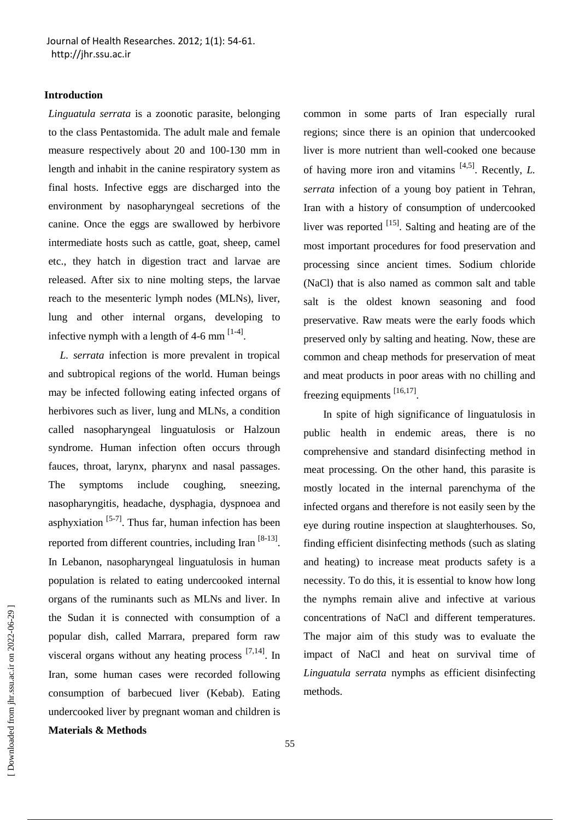## **Introduction**

*Linguatula serrata* is a zoonotic parasite, belonging to the class Pentastomida. The adult male and female measure respectively about 20 and 100-130 mm in length and inhabit in the canine respiratory system as final hosts. Infective eggs are discharged into the environment by nasopharyngeal secretions of the canine. Once the eggs are swallowed by herbivore intermediate hosts such as cattle, goat, sheep, camel etc., they hatch in digestion tract and larvae are released. After six to nine molting steps, the larvae reach to the mesenteric lymph nodes (MLNs), liver, lung and other internal organs, developing to infective nymph with a length of 4-6 mm  $^{[1-4]}$ .

*L. serrata* infection is more prevalent in tropical and subtropical regions of the world. Human beings may be infected following eating infected organs of herbivores such as liver, lung and MLNs, a condition called nasopharyngeal linguatulosis or Halzoun syndrome. Human infection often occurs through fauces, throat, larynx, pharynx and nasal passages. The symptoms include coughing, sneezing, nasopharyngitis, headache, dysphagia, dyspnoea and asphyxiation  $[5-7]$ . Thus far, human infection has been reported from different countries, including Iran  $[8-13]$ . In Lebanon, nasopharyngeal linguatulosis in human population is related to eating undercooked internal organs of the ruminants such as MLNs and liver. In the Sudan it is connected with consumption of a popular dish, called Marrara, prepared form raw visceral organs without any heating process  $[7,14]$ . In Iran, some human cases were recorded following consumption of barbecued liver (Kebab). Eating undercooked liver by pregnant woman and children is **Materials & Methods**

common in some parts of Iran especially rural regions; since there is an opinion that undercooked liver is more nutrient than well-cooked one because of having more iron and vitamins  $[4,5]$ . Recently, *L*. *serrata* infection of a young boy patient in Tehran, Iran with a history of consumption of undercooked liver was reported  $^{[15]}$ . [Salting](http://en.wikipedia.org/wiki/Salting_\(food\)) and heating are of the most important procedures for [food preservation](http://en.wikipedia.org/wiki/Food_preservation) and processing since ancient times. Sodium chloride (NaCl) that is also named as common salt and table salt is the oldest known seasoning and food preservative. Raw meats were the early foods which preserved only by salting and heating. Now, these are common and cheap methods for preservation of meat and meat products in poor areas with no chilling and freezing equipments [16,17].

In spite of high significance of linguatulosis in public health in endemic areas, there is no comprehensive and standard disinfecting method in meat processing. On the other hand, this parasite is mostly located in the internal parenchyma of the infected organs and therefore is not easily seen by the eye during routine inspection at slaughterhouses. So, finding efficient disinfecting methods (such as slating and heating) to increase meat products safety is a necessity. To do this, it is essential to know how long the nymphs remain alive and infective at various concentrations of NaCl and different temperatures. The major aim of this study was to evaluate the impact of NaCl and heat on survival time of *Linguatula serrata* nymphs as efficient disinfecting methods.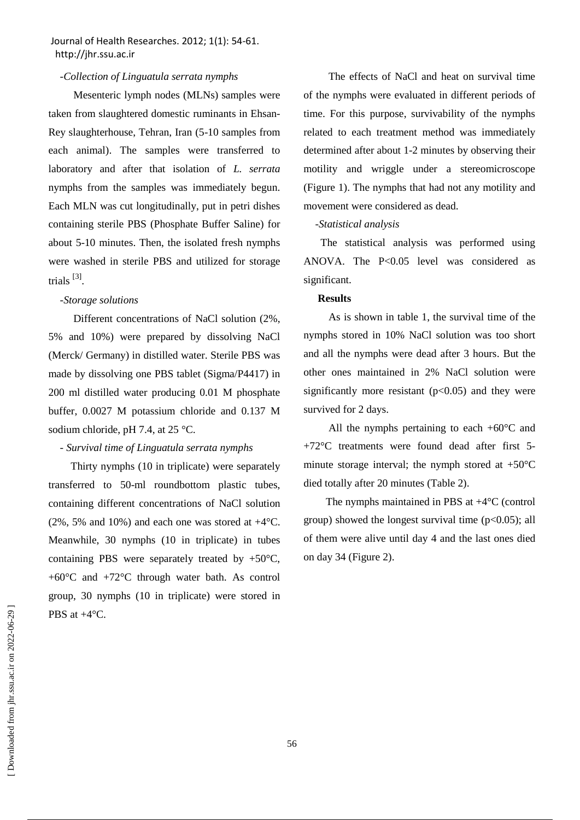Journal of Health Researches. 2012; 1(1): 54-61. http://jhr.ssu.ac.ir

#### *-Collection of Linguatula serrata nymphs*

 Mesenteric lymph nodes (MLNs) samples were taken from slaughtered domestic ruminants in Ehsan-Rey slaughterhouse, Tehran, Iran (5-10 samples from each animal). The samples were transferred to laboratory and after that isolation of *L. serrata* nymphs from the samples was immediately begun. Each MLN was cut longitudinally, put in petri dishes containing sterile PBS (Phosphate Buffer Saline) for about 5-10 minutes. Then, the isolated fresh nymphs were washed in sterile PBS and utilized for storage trials <sup>[3]</sup>.

#### *-Storage solutions*

 Different concentrations of NaCl solution (2%, 5% and 10%) were prepared by dissolving NaCl (Merck/ Germany) in distilled water. Sterile PBS was made by dissolving one PBS tablet (Sigma/P4417) in 200 ml distilled water producing 0.01 M phosphate buffer, 0.0027 M potassium chloride and 0.137 M sodium chloride, pH 7.4, at 25 °C.

## *- Survival time of Linguatula serrata nymphs*

 Thirty nymphs (10 in triplicate) were separately transferred to 50-ml roundbottom plastic tubes, containing different concentrations of NaCl solution  $(2\%, 5\%$  and 10%) and each one was stored at  $+4\degree$ C. Meanwhile, 30 nymphs (10 in triplicate) in tubes containing PBS were separately treated by  $+50^{\circ}$ C, +60°C and +72°C through water bath. As control group, 30 nymphs (10 in triplicate) were stored in PBS at +4°C.

 The effects of NaCl and heat on survival time of the nymphs were evaluated in different periods of time. For this purpose, survivability of the nymphs related to each treatment method was immediately determined after about 1-2 minutes by observing their motility and wriggle under a stereomicroscope (Figure 1). The nymphs that had not any motility and movement were considered as dead.

## *-Statistical analysis*

The statistical analysis was performed using ANOVA. The P<0.05 level was considered as significant.

#### **Results**

 As is shown in table 1, the survival time of the nymphs stored in 10% NaCl solution was too short and all the nymphs were dead after 3 hours. But the other ones maintained in 2% NaCl solution were significantly more resistant  $(p<0.05)$  and they were survived for 2 days.

All the nymphs pertaining to each  $+60^{\circ}$ C and +72°C treatments were found dead after first 5 minute storage interval; the nymph stored at  $+50^{\circ}$ C died totally after 20 minutes (Table 2).

 The nymphs maintained in PBS at +4°C (control group) showed the longest survival time  $(p<0.05)$ ; all of them were alive until day 4 and the last ones died on day 34 (Figure 2).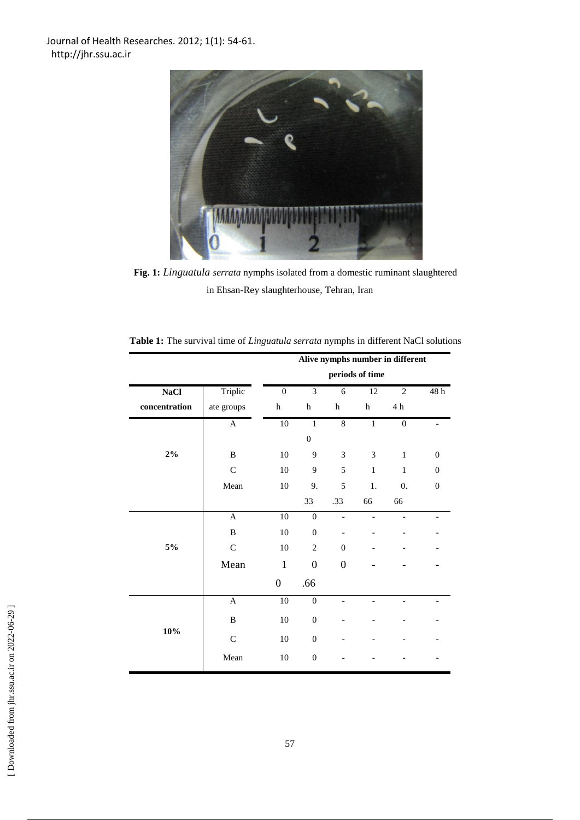

**Fig. 1:** *Linguatula serrata* nymphs isolated from a domestic ruminant slaughtered in Ehsan-Rey slaughterhouse, Tehran, Iran

**Table 1:** The survival time of *Linguatula serrata* nymphs in different NaCl solutions

|               |                       | Alive nymphs number in different |                         |                              |                             |                  |                   |  |  |
|---------------|-----------------------|----------------------------------|-------------------------|------------------------------|-----------------------------|------------------|-------------------|--|--|
|               |                       | periods of time                  |                         |                              |                             |                  |                   |  |  |
| <b>NaCl</b>   | Triplic               | $\overline{0}$                   | $\overline{3}$          | 6                            | 12                          | $\overline{2}$   | $48\ \mathrm{h}$  |  |  |
| concentration | ate groups            | $\,h$                            | $\boldsymbol{\text{h}}$ | $\boldsymbol{\text{h}}$      | $\,$ h                      | 4 h              |                   |  |  |
|               | $\boldsymbol{\rm{A}}$ | $10\,$                           | $\overline{1}$          | $\overline{8}$               | $\mathbf{1}$                | $\boldsymbol{0}$ | $\qquad \qquad -$ |  |  |
| $2\%$         |                       |                                  | $\overline{0}$          |                              |                             |                  |                   |  |  |
|               | $\, {\bf B}$          | 10                               | 9                       | $\ensuremath{\mathfrak{Z}}$  | $\ensuremath{\mathfrak{Z}}$ | $\mathbf{1}$     | $\mathbf{0}$      |  |  |
|               | $\mathbf C$           | 10                               | 9                       | 5                            | $\mathbf{1}$                | $\mathbf{1}$     | $\mathbf{0}$      |  |  |
|               | Mean                  | $10\,$                           | 9.                      | 5                            | 1.                          | 0.               | $\mathbf{0}$      |  |  |
|               |                       |                                  | 33                      | .33                          | 66                          | 66               |                   |  |  |
| 5%            | $\mathbf{A}$          | $10\,$                           | $\boldsymbol{0}$        | $\qquad \qquad \blacksquare$ | $\overline{\phantom{a}}$    | ٠                |                   |  |  |
|               | $\, {\bf B}$          | 10                               | $\boldsymbol{0}$        |                              |                             |                  |                   |  |  |
|               | $\mathsf{C}$          | 10                               | $\overline{2}$          | $\theta$                     |                             |                  |                   |  |  |
|               | Mean                  | $\mathbf{1}$                     | $\overline{0}$          | $\boldsymbol{0}$             |                             |                  |                   |  |  |
|               |                       | $\boldsymbol{0}$                 | .66                     |                              |                             |                  |                   |  |  |
| 10%           | $\mathbf A$           | $\overline{10}$                  | $\overline{0}$          | $\overline{a}$               |                             |                  |                   |  |  |
|               | B                     | $10\,$                           | $\boldsymbol{0}$        |                              |                             |                  |                   |  |  |
|               | $\mathcal{C}$         | 10                               | $\boldsymbol{0}$        |                              |                             |                  |                   |  |  |
|               | Mean                  | $10\,$                           | $\boldsymbol{0}$        |                              |                             |                  |                   |  |  |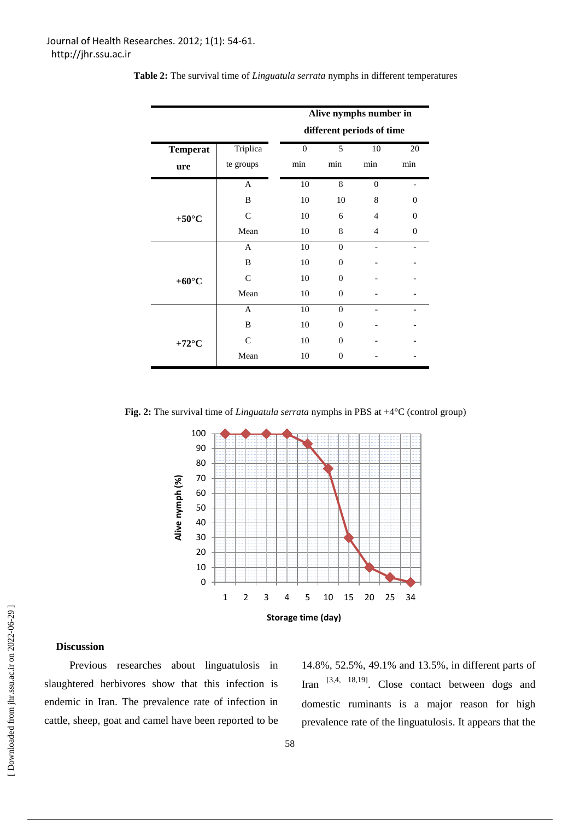|                 |               |                           | Alive nymphs number in |                |          |  |  |  |
|-----------------|---------------|---------------------------|------------------------|----------------|----------|--|--|--|
|                 |               | different periods of time |                        |                |          |  |  |  |
| <b>Temperat</b> | Triplica      | $\theta$                  | 5                      | 10             | 20       |  |  |  |
| ure             | te groups     | min                       | min                    | min            | min      |  |  |  |
|                 | $\mathbf{A}$  | 10                        | 8                      | $\overline{0}$ |          |  |  |  |
|                 | B             | 10                        | 10                     | 8              | $\Omega$ |  |  |  |
| $+50^{\circ}$ C | C             | 10                        | 6                      | $\overline{4}$ | $\Omega$ |  |  |  |
|                 | Mean          | 10                        | 8                      | $\overline{4}$ | $\Omega$ |  |  |  |
|                 | A             | 10                        | $\mathbf{0}$           |                |          |  |  |  |
|                 | B             | 10                        | $\Omega$               |                |          |  |  |  |
| $+60^{\circ}C$  | $\mathsf{C}$  | 10                        | $\Omega$               |                |          |  |  |  |
|                 | Mean          | 10                        | $\theta$               |                |          |  |  |  |
|                 | A             | 10                        | $\mathbf{0}$           |                |          |  |  |  |
|                 | B             | 10                        | $\Omega$               |                |          |  |  |  |
| $+72^{\circ}$ C | $\mathcal{C}$ | 10                        | $\Omega$               |                |          |  |  |  |
|                 | Mean          | 10                        | $\Omega$               |                |          |  |  |  |

**Table 2:** The survival time of *Linguatula serrata* nymphs in different temperatures

**Fig. 2:** The survival time of *Linguatula serrata* nymphs in PBS at +4°C (control group)



## **Discussion**

 Previous researches about linguatulosis in slaughtered herbivores show that this infection is endemic in Iran. The prevalence rate of infection in cattle, sheep, goat and camel have been reported to be

14.8%, 52.5%, 49.1% and 13.5%, in different parts of Iran  $[3,4, 18,19]$ . Close contact between dogs and domestic ruminants is a major reason for high prevalence rate of the linguatulosis. It appears that the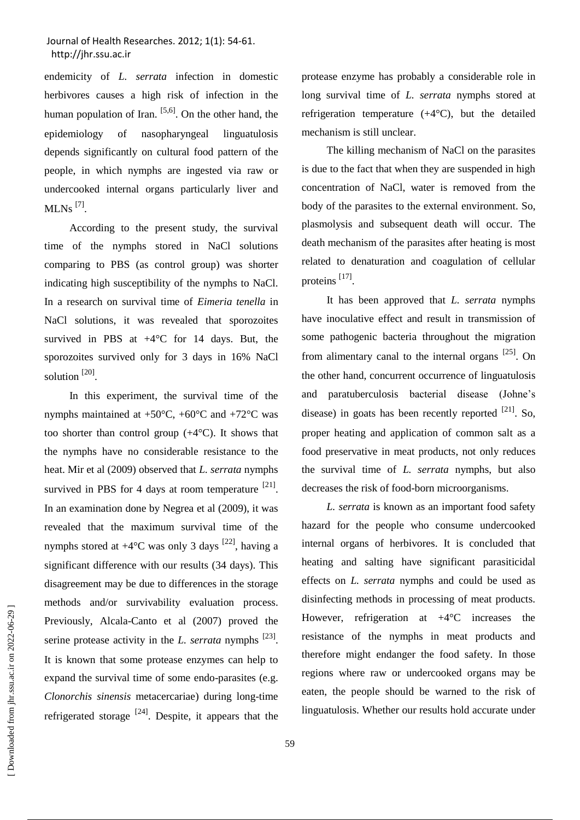endemicity of *L. serrata* infection in domestic herbivores causes a high risk of infection in the human population of Iran. <sup>[5,6]</sup>. On the other hand, the epidemiology of nasopharyngeal linguatulosis depends significantly on cultural food pattern of the people, in which nymphs are ingested via raw or undercooked internal organs particularly liver and  $MLNs$   $^{[7]}$ .

 According to the present study, the survival time of the nymphs stored in NaCl solutions comparing to PBS (as control group) was shorter indicating high susceptibility of the nymphs to NaCl. In a research on survival time of *Eimeria tenella* in NaCl solutions, it was revealed that sporozoites survived in PBS at +4°C for 14 days. But, the sporozoites survived only for 3 days in 16% NaCl solution<sup>[20]</sup>.

 In this experiment, the survival time of the nymphs maintained at  $+50^{\circ}$ C,  $+60^{\circ}$ C and  $+72^{\circ}$ C was too shorter than control group  $(+4^{\circ}C)$ . It shows that the nymphs have no considerable resistance to the heat. Mir et al (2009) observed that *L. serrata* nymphs survived in PBS for 4 days at room temperature  $[21]$ . In an examination done by Negrea et al (2009), it was revealed that the maximum survival time of the nymphs stored at  $+4^{\circ}$ C was only 3 days <sup>[22]</sup>, having a significant difference with our results (34 days). This disagreement may be due to differences in the storage methods and/or survivability evaluation process. Previously, Alcala-Canto et al (2007) proved the serine protease activity in the *L. serrata* nymphs<sup>[23]</sup>. It is known that some protease enzymes can help to expand the survival time of some endo-parasites (e.g. *Clonorchis sinensis* metacercariae) during long-time refrigerated storage  $[24]$ . Despite, it appears that the protease enzyme has probably a considerable role in long survival time of *L. serrata* nymphs stored at refrigeration temperature  $(+4^{\circ}C)$ , but the detailed mechanism is still unclear.

 The killing mechanism of NaCl on the parasites is due to the fact that when they are suspended in high concentration of NaCl, water is removed from the body of the parasites to the external environment. So, plasmolysis and subsequent death will occur. The death mechanism of the parasites after heating is most related to denaturation and coagulation of cellular proteins <sup>[17]</sup>.

 It has been approved that *L. serrata* nymphs have inoculative effect and result in transmission of some pathogenic bacteria throughout the migration from alimentary canal to the internal organs  $^{[25]}$ . On the other hand, concurrent occurrence of linguatulosis and paratuberculosis bacterial disease (Johne's disease) in goats has been recently reported  $[21]$ . So, proper heating and application of common salt as a food preservative in meat products, not only reduces the survival time of *L. serrata* nymphs, but also decreases the risk of food-born microorganisms.

 *L. serrata* is known as an important food safety hazard for the people who consume undercooked internal organs of herbivores. It is concluded that heating and salting have significant parasiticidal effects on *L. serrata* nymphs and could be used as disinfecting methods in processing of meat products. However, refrigeration at +4°C increases the resistance of the nymphs in meat products and therefore might endanger the food safety. In those regions where raw or undercooked organs may be eaten, the people should be warned to the risk of linguatulosis. Whether our results hold accurate under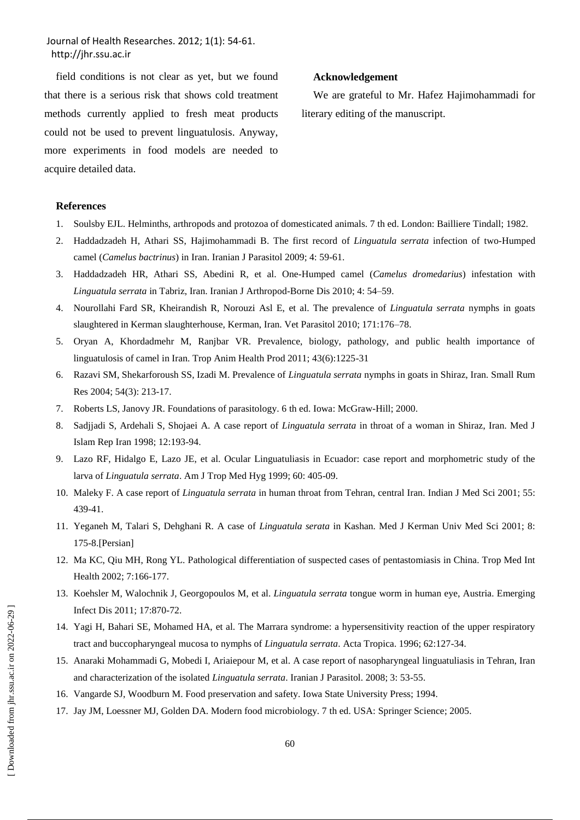Journal of Health Researches. 2012; 1(1): 54-61. http://jhr.ssu.ac.ir

field conditions is not clear as yet, but we found that there is a serious risk that shows cold treatment methods currently applied to fresh meat products could not be used to prevent linguatulosis. Anyway, more experiments in food models are needed to acquire detailed data.

#### **Acknowledgement**

We are grateful to Mr. Hafez Hajimohammadi for literary editing of the manuscript.

#### **References**

- 1. Soulsby EJL. Helminths, arthropods and protozoa of domesticated animals. 7 th ed. London: Bailliere Tindall; 1982.
- 2. Haddadzadeh H, Athari SS, Hajimohammadi B. The first record of *Linguatula serrata* infection of two-Humped camel (*Camelus bactrinus*) in Iran. Iranian J Parasitol 2009; 4: 59-61.
- 3. Haddadzadeh HR, Athari SS, Abedini R, et al. One-Humped camel (*Camelus dromedarius*) infestation with *Linguatula serrata* in Tabriz, Iran. Iranian J Arthropod-Borne Dis 2010; 4: 54–59.
- 4. Nourollahi Fard SR, Kheirandish R, Norouzi Asl E, et al. The prevalence of *Linguatula serrata* nymphs in goats slaughtered in Kerman slaughterhouse, Kerman, Iran. Vet Parasitol 2010; 171:176–78.
- 5. Oryan A, Khordadmehr M, Ranjbar VR. Prevalence, biology, pathology, and public health importance of linguatulosis of camel in Iran. Trop Anim Health Prod 2011; 43(6):1225-31
- 6. Razavi SM, Shekarforoush SS, Izadi M. Prevalence of *Linguatula serrata* nymphs in goats in Shiraz, Iran. Small Rum Res 2004; 54(3): 213-17.
- 7. Roberts LS, Janovy JR. Foundations of parasitology. 6 th ed. Iowa: McGraw-Hill; 2000.
- 8. Sadjjadi S, Ardehali S, Shojaei A. A case report of *Linguatula serrata* in throat of a woman in Shiraz, Iran. Med J Islam Rep Iran 1998; 12:193-94.
- 9. Lazo RF, Hidalgo E, Lazo JE, et al. Ocular Linguatuliasis in Ecuador: case report and morphometric study of the larva of *Linguatula serrata*. Am J Trop Med Hyg 1999; 60: 405-09.
- 10. Maleky F. A case report of *Linguatula serrata* in human throat from Tehran, central Iran. Indian J Med Sci 2001; 55: 439-41.
- 11. Yeganeh M, Talari S, Dehghani R. A case of *Linguatula serata* in Kashan. Med J Kerman Univ Med Sci 2001; 8: 175-8.[Persian]
- 12. Ma KC, Qiu MH, Rong YL. Pathological differentiation of suspected cases of pentastomiasis in China. Trop Med Int Health 2002; 7:166-177.
- 13. Koehsler M, Walochnik J, Georgopoulos M, et al. *Linguatula serrata* tongue worm in human eye, Austria. Emerging Infect Dis 2011; 17:870-72.
- 14. Yagi H, Bahari SE, Mohamed HA, et al. The Marrara syndrome: a hypersensitivity reaction of the upper respiratory tract and buccopharyngeal mucosa to nymphs of *Linguatula serrata*. Acta Tropica. 1996; 62:127-34.
- 15. Anaraki Mohammadi G, Mobedi I, Ariaiepour M, et al. A case report of nasopharyngeal linguatuliasis in Tehran, Iran and characterization of the isolated *Linguatula serrata*. Iranian J Parasitol. 2008; 3: 53-55.
- 16. Vangarde SJ, Woodburn M. Food preservation and safety. Iowa State University Press; 1994.
- 17. Jay JM, Loessner MJ, Golden DA. Modern food microbiology. 7 th ed. USA: Springer Science; 2005.